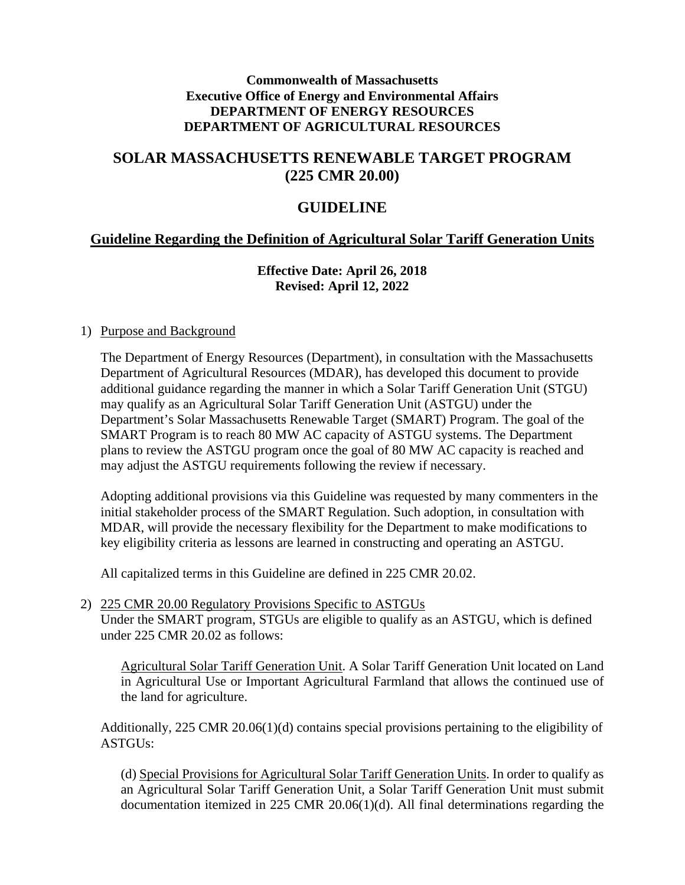#### **Commonwealth of Massachusetts Executive Office of Energy and Environmental Affairs DEPARTMENT OF ENERGY RESOURCES DEPARTMENT OF AGRICULTURAL RESOURCES**

# **SOLAR MASSACHUSETTS RENEWABLE TARGET PROGRAM (225 CMR 20.00)**

## **GUIDELINE**

## **Guideline Regarding the Definition of Agricultural Solar Tariff Generation Units**

## **Effective Date: April 26, 2018 Revised: April 12, 2022**

#### 1) Purpose and Background

The Department of Energy Resources (Department), in consultation with the Massachusetts Department of Agricultural Resources (MDAR), has developed this document to provide additional guidance regarding the manner in which a Solar Tariff Generation Unit (STGU) may qualify as an Agricultural Solar Tariff Generation Unit (ASTGU) under the Department's Solar Massachusetts Renewable Target (SMART) Program. The goal of the SMART Program is to reach 80 MW AC capacity of ASTGU systems. The Department plans to review the ASTGU program once the goal of 80 MW AC capacity is reached and may adjust the ASTGU requirements following the review if necessary.

Adopting additional provisions via this Guideline was requested by many commenters in the initial stakeholder process of the SMART Regulation. Such adoption, in consultation with MDAR, will provide the necessary flexibility for the Department to make modifications to key eligibility criteria as lessons are learned in constructing and operating an ASTGU.

All capitalized terms in this Guideline are defined in 225 CMR 20.02.

2) 225 CMR 20.00 Regulatory Provisions Specific to ASTGUs Under the SMART program, STGUs are eligible to qualify as an ASTGU, which is defined under 225 CMR 20.02 as follows:

Agricultural Solar Tariff Generation Unit. A Solar Tariff Generation Unit located on Land in Agricultural Use or Important Agricultural Farmland that allows the continued use of the land for agriculture.

Additionally, 225 CMR 20.06(1)(d) contains special provisions pertaining to the eligibility of ASTGUs:

(d) Special Provisions for Agricultural Solar Tariff Generation Units. In order to qualify as an Agricultural Solar Tariff Generation Unit, a Solar Tariff Generation Unit must submit documentation itemized in 225 CMR 20.06(1)(d). All final determinations regarding the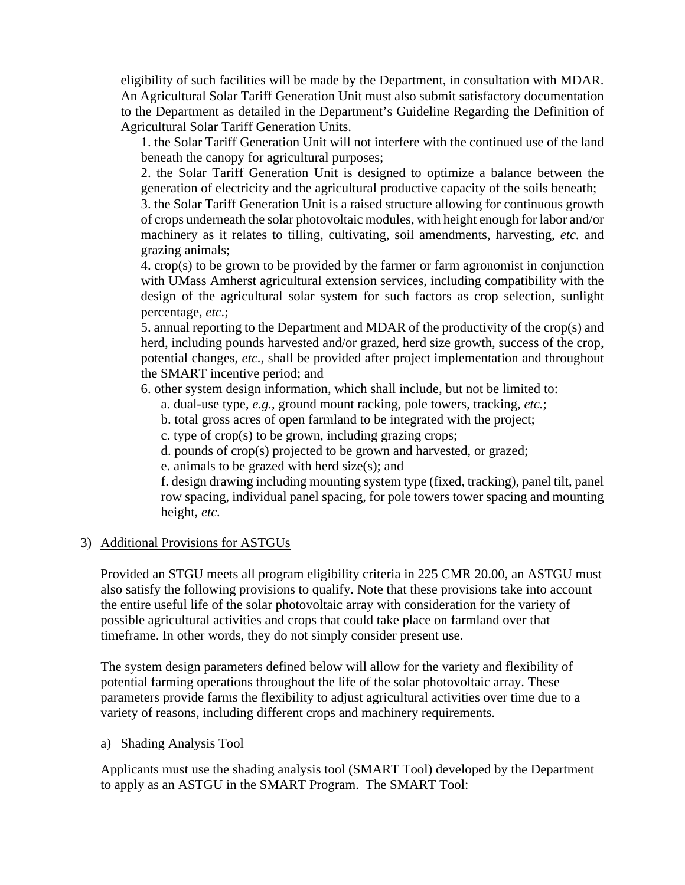eligibility of such facilities will be made by the Department, in consultation with MDAR. An Agricultural Solar Tariff Generation Unit must also submit satisfactory documentation to the Department as detailed in the Department's Guideline Regarding the Definition of Agricultural Solar Tariff Generation Units.

1. the Solar Tariff Generation Unit will not interfere with the continued use of the land beneath the canopy for agricultural purposes;

2. the Solar Tariff Generation Unit is designed to optimize a balance between the generation of electricity and the agricultural productive capacity of the soils beneath;

3. the Solar Tariff Generation Unit is a raised structure allowing for continuous growth of crops underneath the solar photovoltaic modules, with height enough for labor and/or machinery as it relates to tilling, cultivating, soil amendments, harvesting, *etc.* and grazing animals;

4. crop(s) to be grown to be provided by the farmer or farm agronomist in conjunction with UMass Amherst agricultural extension services, including compatibility with the design of the agricultural solar system for such factors as crop selection, sunlight percentage, *etc.*;

5. annual reporting to the Department and MDAR of the productivity of the crop(s) and herd, including pounds harvested and/or grazed, herd size growth, success of the crop, potential changes, *etc.*, shall be provided after project implementation and throughout the SMART incentive period; and

6. other system design information, which shall include, but not be limited to:

- a. dual-use type, *e.g.*, ground mount racking, pole towers, tracking, *etc.*;
- b. total gross acres of open farmland to be integrated with the project;
- c. type of crop(s) to be grown, including grazing crops;
- d. pounds of crop(s) projected to be grown and harvested, or grazed;
- e. animals to be grazed with herd size(s); and

f. design drawing including mounting system type (fixed, tracking), panel tilt, panel row spacing, individual panel spacing, for pole towers tower spacing and mounting height, *etc.*

## 3) Additional Provisions for ASTGUs

Provided an STGU meets all program eligibility criteria in 225 CMR 20.00, an ASTGU must also satisfy the following provisions to qualify. Note that these provisions take into account the entire useful life of the solar photovoltaic array with consideration for the variety of possible agricultural activities and crops that could take place on farmland over that timeframe. In other words, they do not simply consider present use.

The system design parameters defined below will allow for the variety and flexibility of potential farming operations throughout the life of the solar photovoltaic array. These parameters provide farms the flexibility to adjust agricultural activities over time due to a variety of reasons, including different crops and machinery requirements.

a) Shading Analysis Tool

Applicants must use the shading analysis tool (SMART Tool) developed by the Department to apply as an ASTGU in the SMART Program. The SMART Tool: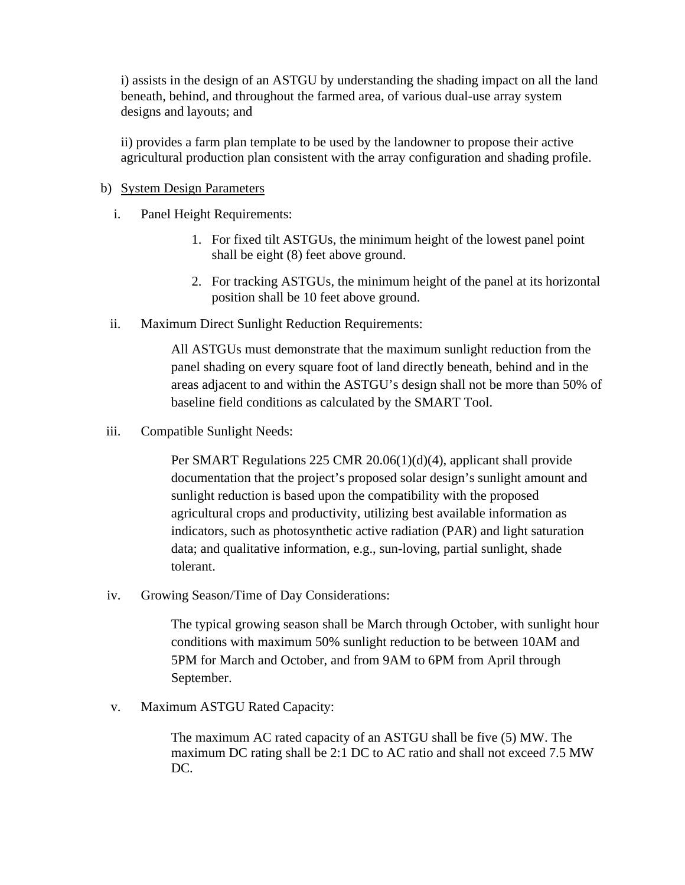i) assists in the design of an ASTGU by understanding the shading impact on all the land beneath, behind, and throughout the farmed area, of various dual-use array system designs and layouts; and

ii) provides a farm plan template to be used by the landowner to propose their active agricultural production plan consistent with the array configuration and shading profile.

#### b) System Design Parameters

- i. Panel Height Requirements:
	- 1. For fixed tilt ASTGUs, the minimum height of the lowest panel point shall be eight (8) feet above ground.
	- 2. For tracking ASTGUs, the minimum height of the panel at its horizontal position shall be 10 feet above ground.
- ii. Maximum Direct Sunlight Reduction Requirements:

All ASTGUs must demonstrate that the maximum sunlight reduction from the panel shading on every square foot of land directly beneath, behind and in the areas adjacent to and within the ASTGU's design shall not be more than 50% of baseline field conditions as calculated by the SMART Tool.

iii. Compatible Sunlight Needs:

Per SMART Regulations 225 CMR 20.06(1)(d)(4), applicant shall provide documentation that the project's proposed solar design's sunlight amount and sunlight reduction is based upon the compatibility with the proposed agricultural crops and productivity, utilizing best available information as indicators, such as photosynthetic active radiation (PAR) and light saturation data; and qualitative information, e.g., sun-loving, partial sunlight, shade tolerant.

iv. Growing Season/Time of Day Considerations:

The typical growing season shall be March through October, with sunlight hour conditions with maximum 50% sunlight reduction to be between 10AM and 5PM for March and October, and from 9AM to 6PM from April through September.

v. Maximum ASTGU Rated Capacity:

The maximum AC rated capacity of an ASTGU shall be five (5) MW. The maximum DC rating shall be 2:1 DC to AC ratio and shall not exceed 7.5 MW DC.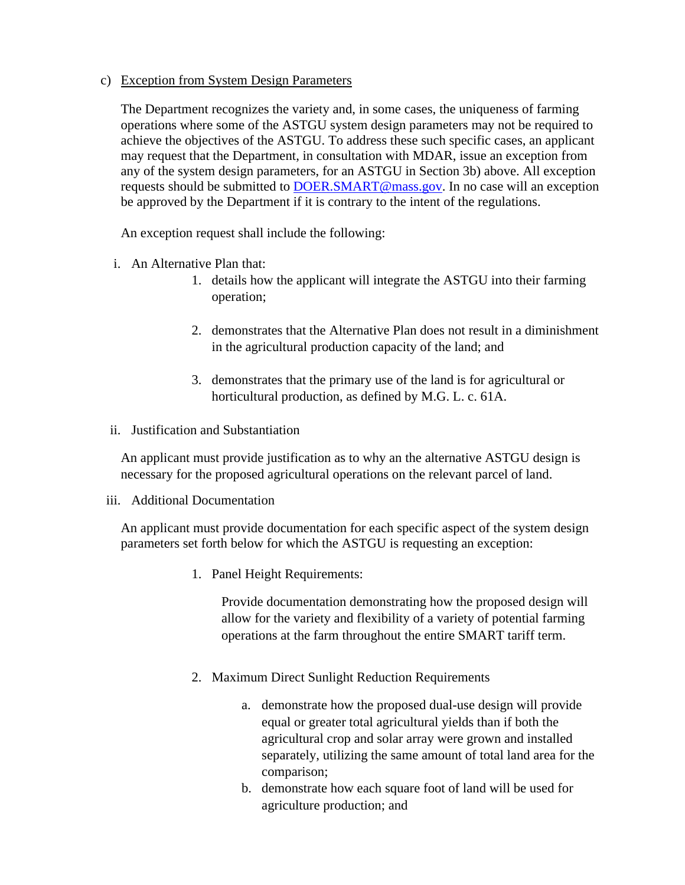#### c) Exception from System Design Parameters

The Department recognizes the variety and, in some cases, the uniqueness of farming operations where some of the ASTGU system design parameters may not be required to achieve the objectives of the ASTGU. To address these such specific cases, an applicant may request that the Department, in consultation with MDAR, issue an exception from any of the system design parameters, for an ASTGU in Section 3b) above. All exception requests should be submitted to [DOER.SMART@mass.gov.](mailto:DOER.SMART@mass.gov) In no case will an exception be approved by the Department if it is contrary to the intent of the regulations.

An exception request shall include the following:

- i. An Alternative Plan that:
	- 1. details how the applicant will integrate the ASTGU into their farming operation;
	- 2. demonstrates that the Alternative Plan does not result in a diminishment in the agricultural production capacity of the land; and
	- 3. demonstrates that the primary use of the land is for agricultural or horticultural production, as defined by M.G. L. c. 61A.
- ii. Justification and Substantiation

An applicant must provide justification as to why an the alternative ASTGU design is necessary for the proposed agricultural operations on the relevant parcel of land.

#### iii. Additional Documentation

An applicant must provide documentation for each specific aspect of the system design parameters set forth below for which the ASTGU is requesting an exception:

1. Panel Height Requirements:

Provide documentation demonstrating how the proposed design will allow for the variety and flexibility of a variety of potential farming operations at the farm throughout the entire SMART tariff term.

- 2. Maximum Direct Sunlight Reduction Requirements
	- a. demonstrate how the proposed dual-use design will provide equal or greater total agricultural yields than if both the agricultural crop and solar array were grown and installed separately, utilizing the same amount of total land area for the comparison;
	- b. demonstrate how each square foot of land will be used for agriculture production; and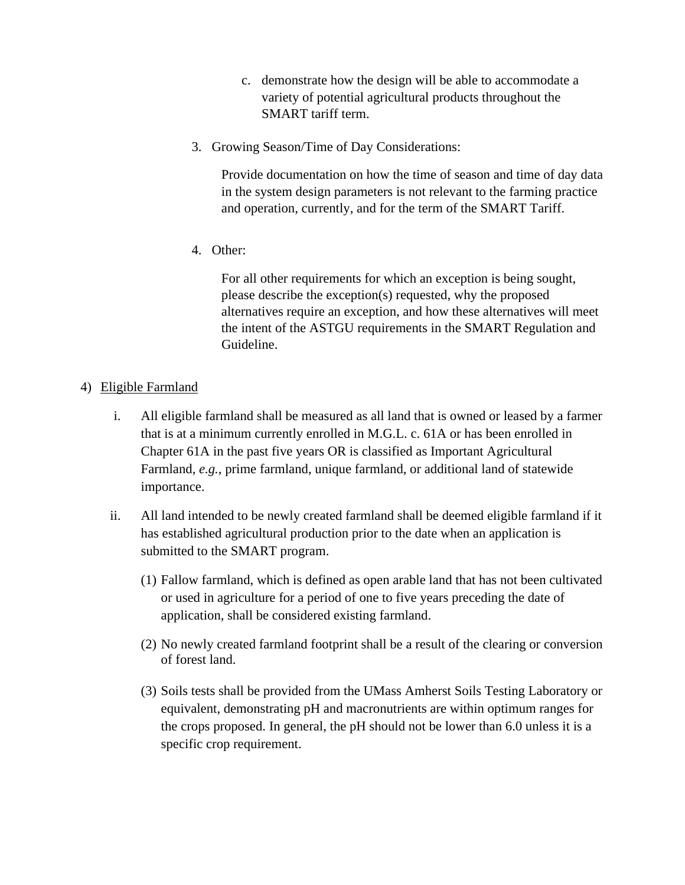- c. demonstrate how the design will be able to accommodate a variety of potential agricultural products throughout the SMART tariff term.
- 3. Growing Season/Time of Day Considerations:

Provide documentation on how the time of season and time of day data in the system design parameters is not relevant to the farming practice and operation, currently, and for the term of the SMART Tariff.

4. Other:

For all other requirements for which an exception is being sought, please describe the exception(s) requested, why the proposed alternatives require an exception, and how these alternatives will meet the intent of the ASTGU requirements in the SMART Regulation and Guideline.

- 4) Eligible Farmland
	- i. All eligible farmland shall be measured as all land that is owned or leased by a farmer that is at a minimum currently enrolled in M.G.L. c. 61A or has been enrolled in Chapter 61A in the past five years OR is classified as Important Agricultural Farmland, *e.g.*, prime farmland, unique farmland, or additional land of statewide importance.
	- ii. All land intended to be newly created farmland shall be deemed eligible farmland if it has established agricultural production prior to the date when an application is submitted to the SMART program.
		- (1) Fallow farmland, which is defined as open arable land that has not been cultivated or used in agriculture for a period of one to five years preceding the date of application, shall be considered existing farmland.
		- (2) No newly created farmland footprint shall be a result of the clearing or conversion of forest land.
		- (3) Soils tests shall be provided from the UMass Amherst Soils Testing Laboratory or equivalent, demonstrating pH and macronutrients are within optimum ranges for the crops proposed. In general, the pH should not be lower than 6.0 unless it is a specific crop requirement.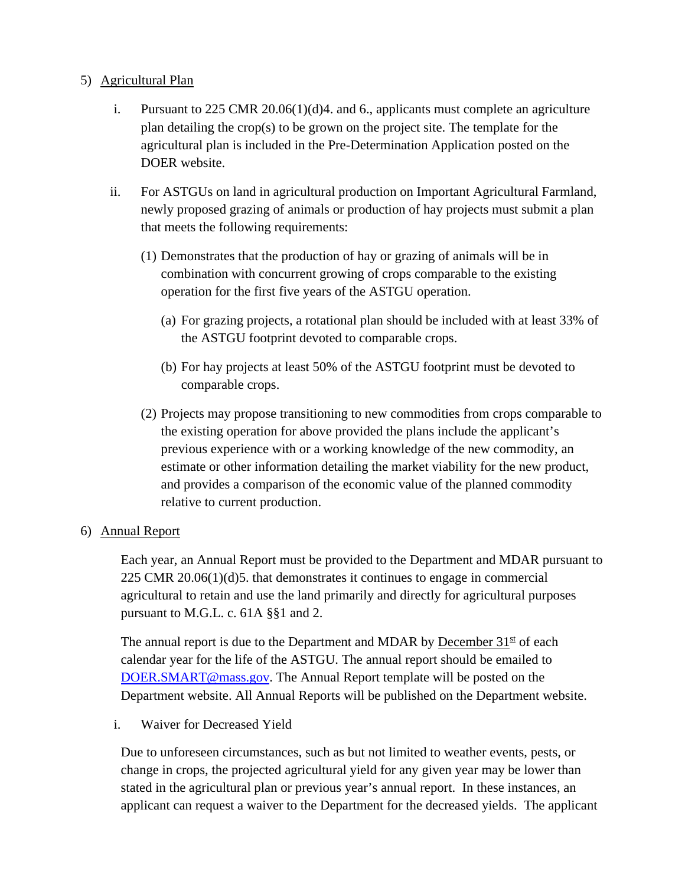## 5) Agricultural Plan

- i. Pursuant to 225 CMR 20.06(1)(d)4. and 6., applicants must complete an agriculture plan detailing the crop(s) to be grown on the project site. The template for the agricultural plan is included in the Pre-Determination Application posted on the DOER website.
- ii. For ASTGUs on land in agricultural production on Important Agricultural Farmland, newly proposed grazing of animals or production of hay projects must submit a plan that meets the following requirements:
	- (1) Demonstrates that the production of hay or grazing of animals will be in combination with concurrent growing of crops comparable to the existing operation for the first five years of the ASTGU operation.
		- (a) For grazing projects, a rotational plan should be included with at least 33% of the ASTGU footprint devoted to comparable crops.
		- (b) For hay projects at least 50% of the ASTGU footprint must be devoted to comparable crops.
	- (2) Projects may propose transitioning to new commodities from crops comparable to the existing operation for above provided the plans include the applicant's previous experience with or a working knowledge of the new commodity, an estimate or other information detailing the market viability for the new product, and provides a comparison of the economic value of the planned commodity relative to current production.

#### 6) Annual Report

Each year, an Annual Report must be provided to the Department and MDAR pursuant to 225 CMR 20.06(1)(d)5. that demonstrates it continues to engage in commercial agricultural to retain and use the land primarily and directly for agricultural purposes pursuant to M.G.L. c. 61A §§1 and 2.

The annual report is due to the Department and MDAR by December  $31<sup>st</sup>$  of each calendar year for the life of the ASTGU. The annual report should be emailed to [DOER.SMART@mass.gov.](mailto:DOER.SMART@mass.gov) The Annual Report template will be posted on the Department website. All Annual Reports will be published on the Department website.

i. Waiver for Decreased Yield

Due to unforeseen circumstances, such as but not limited to weather events, pests, or change in crops, the projected agricultural yield for any given year may be lower than stated in the agricultural plan or previous year's annual report. In these instances, an applicant can request a waiver to the Department for the decreased yields. The applicant